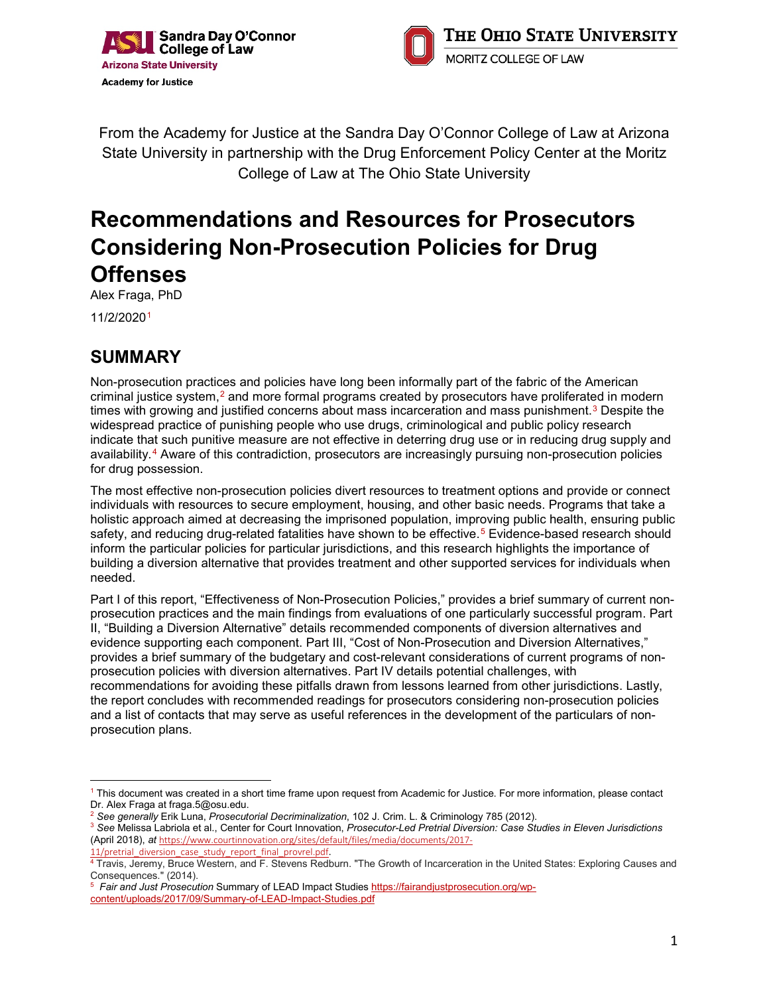



From the Academy for Justice at the Sandra Day O'Connor College of Law at Arizona State University in partnership with the Drug Enforcement Policy Center at the Moritz College of Law at The Ohio State University

# **Recommendations and Resources for Prosecutors Considering Non-Prosecution Policies for Drug Offenses**

Alex Fraga, PhD 11/2/2020[1](#page-0-0)

# **SUMMARY**

Non-prosecution practices and policies have long been informally part of the fabric of the American criminal justice system,<sup>[2](#page-0-1)</sup> and more formal programs created by prosecutors have proliferated in modern times with growing and justified concerns about mass incarceration and mass punishment.<sup>[3](#page-0-2)</sup> Despite the widespread practice of punishing people who use drugs, criminological and public policy research indicate that such punitive measure are not effective in deterring drug use or in reducing drug supply and availability.[4](#page-0-3) Aware of this contradiction, prosecutors are increasingly pursuing non-prosecution policies for drug possession.

The most effective non-prosecution policies divert resources to treatment options and provide or connect individuals with resources to secure employment, housing, and other basic needs. Programs that take a holistic approach aimed at decreasing the imprisoned population, improving public health, ensuring public safety, and reducing drug-related fatalities have shown to be effective.<sup>[5](#page-0-4)</sup> Evidence-based research should inform the particular policies for particular jurisdictions, and this research highlights the importance of building a diversion alternative that provides treatment and other supported services for individuals when needed.

Part I of this report, "Effectiveness of Non-Prosecution Policies," provides a brief summary of current nonprosecution practices and the main findings from evaluations of one particularly successful program. Part II, "Building a Diversion Alternative" details recommended components of diversion alternatives and evidence supporting each component. Part III, "Cost of Non-Prosecution and Diversion Alternatives," provides a brief summary of the budgetary and cost-relevant considerations of current programs of nonprosecution policies with diversion alternatives. Part IV details potential challenges, with recommendations for avoiding these pitfalls drawn from lessons learned from other jurisdictions. Lastly, the report concludes with recommended readings for prosecutors considering non-prosecution policies and a list of contacts that may serve as useful references in the development of the particulars of nonprosecution plans.

<span id="page-0-0"></span> $\overline{a}$ <sup>1</sup> This document was created in a short time frame upon request from Academic for Justice. For more information, please contact Dr. Alex Fraga at fraga.5@osu.edu.

<span id="page-0-1"></span><sup>2</sup> *See generally* Erik Luna, *Prosecutorial Decriminalization*, 102 J. Crim. L. & Criminology 785 (2012).

<span id="page-0-2"></span><sup>3</sup> *See* Melissa Labriola et al., Center for Court Innovation, *Prosecutor-Led Pretrial Diversion: Case Studies in Eleven Jurisdictions* (April 2018), *at* [https://www.courtinnovation.org/sites/default/files/media/documents/2017-](https://www.courtinnovation.org/sites/default/files/media/documents/2017-11/pretrial_diversion_case_study_report_final_provrel.pdf)

<sup>11/</sup>pretrial diversion case study report final provrel.pdf.

<span id="page-0-3"></span><sup>&</sup>lt;sup>4</sup> Travis, Jeremy, Bruce Western, and F. Stevens Redburn. "The Growth of Incarceration in the United States: Exploring Causes and Consequences." (2014).

<span id="page-0-4"></span><sup>5</sup> *Fair and Just Prosecution* Summary of LEAD Impact Studies [https://fairandjustprosecution.org/wp](https://fairandjustprosecution.org/wp-content/uploads/2017/09/Summary-of-LEAD-Impact-Studies.pdf)[content/uploads/2017/09/Summary-of-LEAD-Impact-Studies.pdf](https://fairandjustprosecution.org/wp-content/uploads/2017/09/Summary-of-LEAD-Impact-Studies.pdf)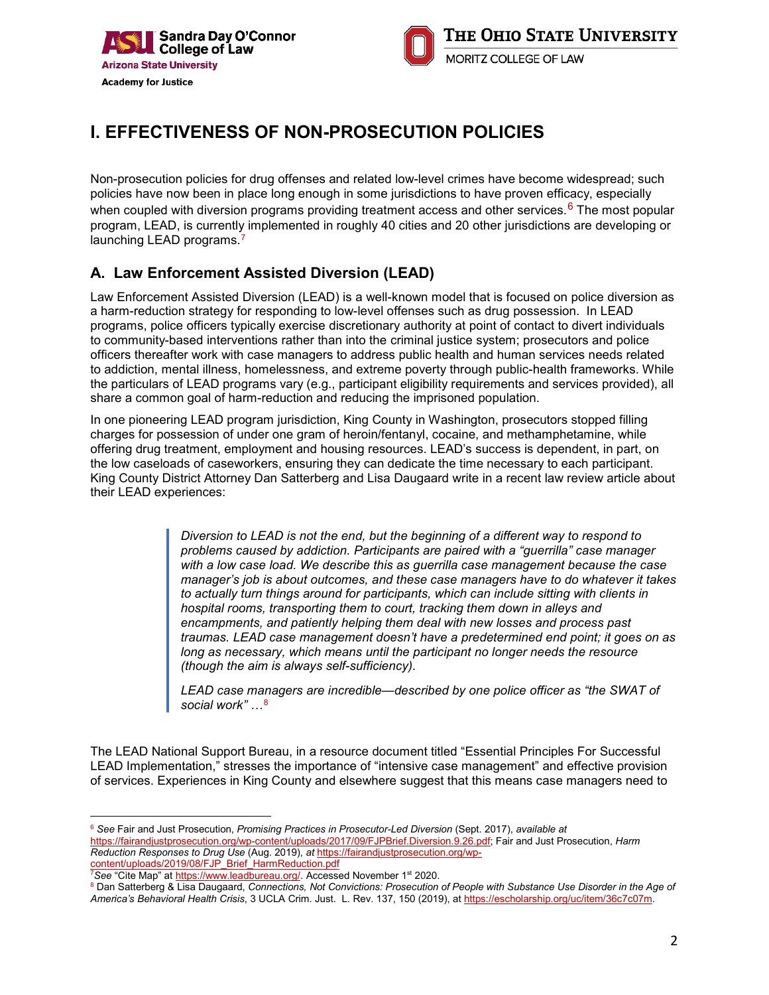



# **I. EFFECTIVENESS OF NON-PROSECUTION POLICIES**

Non-prosecution policies for drug offenses and related low-level crimes have become widespread; such policies have now been in place long enough in some jurisdictions to have proven efficacy, especially when coupled with diversion programs providing treatment access and other services.<sup>[6](#page-1-0)</sup> The most popular program, LEAD, is currently implemented in roughly 40 cities and 20 other jurisdictions are developing or launching LEAD programs.<sup>[7](#page-1-1)</sup>

### **A. Law Enforcement Assisted Diversion (LEAD)**

Law Enforcement Assisted Diversion (LEAD) is a well-known model that is focused on police diversion as a harm-reduction strategy for responding to low-level offenses such as drug possession. In LEAD programs, police officers typically exercise discretionary authority at point of contact to divert individuals to community-based interventions rather than into the criminal justice system; prosecutors and police officers thereafter work with case managers to address public health and human services needs related to addiction, mental illness, homelessness, and extreme poverty through public-health frameworks. While the particulars of LEAD programs vary (e.g., participant eligibility requirements and services provided), all share a common goal of harm-reduction and reducing the imprisoned population.

In one pioneering LEAD program jurisdiction, King County in Washington, prosecutors stopped filling charges for possession of under one gram of heroin/fentanyl, cocaine, and methamphetamine, while offering drug treatment, employment and housing resources. LEAD's success is dependent, in part, on the low caseloads of caseworkers, ensuring they can dedicate the time necessary to each participant. King County District Attorney Dan Satterberg and Lisa Daugaard write in a recent law review article about their LEAD experiences:

> *Diversion to LEAD is not the end, but the beginning of a different way to respond to problems caused by addiction. Participants are paired with a "guerrilla" case manager with a low case load. We describe this as guerrilla case management because the case manager's job is about outcomes, and these case managers have to do whatever it takes to actually turn things around for participants, which can include sitting with clients in hospital rooms, transporting them to court, tracking them down in alleys and encampments, and patiently helping them deal with new losses and process past traumas. LEAD case management doesn't have a predetermined end point; it goes on as long as necessary, which means until the participant no longer needs the resource (though the aim is always self-sufficiency).*

*LEAD case managers are incredible—described by one police officer as "the SWAT of social work" …*[8](#page-1-2)

The LEAD National Support Bureau, in a resource document titled "Essential Principles For Successful LEAD Implementation," stresses the importance of "intensive case management" and effective provision of services. Experiences in King County and elsewhere suggest that this means case managers need to

<span id="page-1-0"></span><sup>6</sup> *See* Fair and Just Prosecution, *Promising Practices in Prosecutor-Led Diversion* (Sept. 2017), *available at* [https://fairandjustprosecution.org/wp-content/uploads/2017/09/FJPBrief.Diversion.9.26.pdf;](https://fairandjustprosecution.org/wp-content/uploads/2017/09/FJPBrief.Diversion.9.26.pdf) Fair and Just Prosecution, *Harm Reduction Responses to Drug Use* (Aug. 2019), *at* [https://fairandjustprosecution.org/wp-](https://fairandjustprosecution.org/wp-content/uploads/2019/08/FJP_Brief_HarmReduction.pdf)

 $\overline{a}$ 

[content/uploads/2019/08/FJP\\_Brief\\_HarmReduction.pdf](https://fairandjustprosecution.org/wp-content/uploads/2019/08/FJP_Brief_HarmReduction.pdf) 7 *See* "Cite Map" a[t https://www.leadbureau.org/.](https://www.leadbureau.org/) Accessed November 1st 2020.

<span id="page-1-2"></span><span id="page-1-1"></span><sup>8</sup> Dan Satterberg & Lisa Daugaard, *Connections, Not Convictions: Prosecution of People with Substance Use Disorder in the Age of America's Behavioral Health Crisis*, 3 UCLA Crim. Just. L. Rev. 137, 150 (2019), a[t https://escholarship.org/uc/item/36c7c07m.](https://escholarship.org/uc/item/36c7c07m)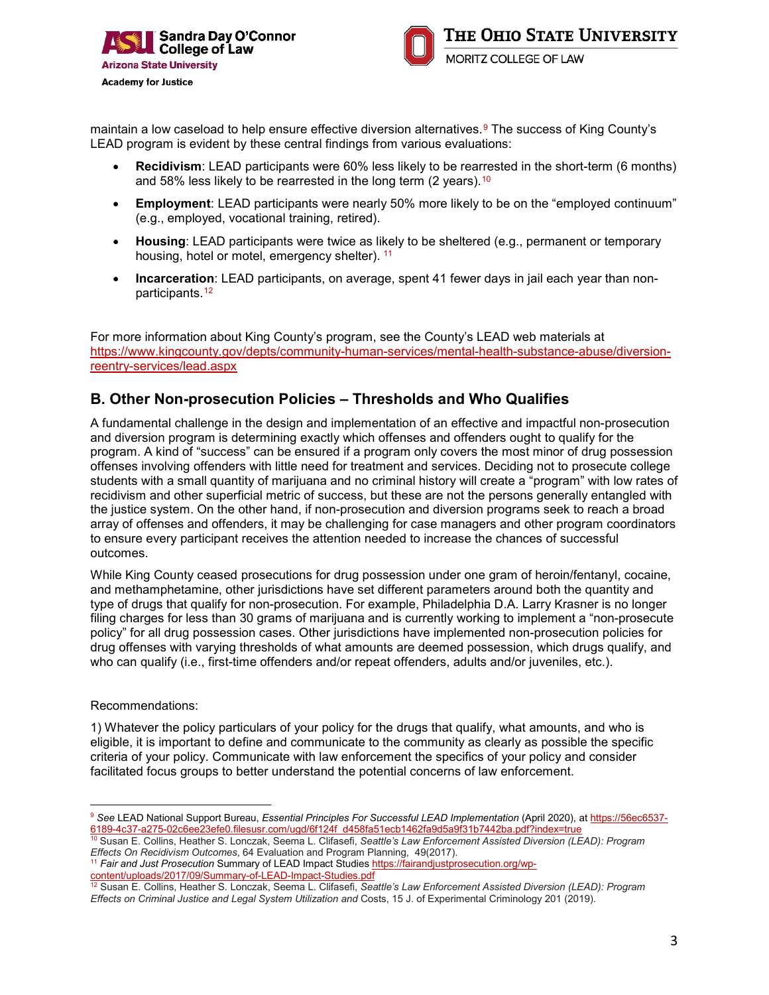

maintain a low caseload to help ensure effective diversion alternatives.<sup>[9](#page-2-0)</sup> The success of King County's LEAD program is evident by these central findings from various evaluations:

- **Recidivism**: LEAD participants were 60% less likely to be rearrested in the short-term (6 months) and 58% less likely to be rearrested in the long term  $(2 \text{ years})$ .<sup>[10](#page-2-1)</sup>
- **Employment**: LEAD participants were nearly 50% more likely to be on the "employed continuum" (e.g., employed, vocational training, retired).
- **Housing**: LEAD participants were twice as likely to be sheltered (e.g., permanent or temporary housing, hotel or motel, emergency shelter). <sup>[11](#page-2-2)</sup>
- **Incarceration**: LEAD participants, on average, spent 41 fewer days in jail each year than non-participants.<sup>[12](#page-2-3)</sup>

For more information about King County's program, see the County's LEAD web materials at [https://www.kingcounty.gov/depts/community-human-services/mental-health-substance-abuse/diversion](https://www.kingcounty.gov/depts/community-human-services/mental-health-substance-abuse/diversion-reentry-services/lead.aspx)[reentry-services/lead.aspx](https://www.kingcounty.gov/depts/community-human-services/mental-health-substance-abuse/diversion-reentry-services/lead.aspx)

#### **B. Other Non-prosecution Policies – Thresholds and Who Qualifies**

A fundamental challenge in the design and implementation of an effective and impactful non-prosecution and diversion program is determining exactly which offenses and offenders ought to qualify for the program. A kind of "success" can be ensured if a program only covers the most minor of drug possession offenses involving offenders with little need for treatment and services. Deciding not to prosecute college students with a small quantity of marijuana and no criminal history will create a "program" with low rates of recidivism and other superficial metric of success, but these are not the persons generally entangled with the justice system. On the other hand, if non-prosecution and diversion programs seek to reach a broad array of offenses and offenders, it may be challenging for case managers and other program coordinators to ensure every participant receives the attention needed to increase the chances of successful outcomes.

While King County ceased prosecutions for drug possession under one gram of heroin/fentanyl, cocaine, and methamphetamine, other jurisdictions have set different parameters around both the quantity and type of drugs that qualify for non-prosecution. For example, Philadelphia D.A. Larry Krasner is no longer filing charges for less than 30 grams of marijuana and is currently working to implement a "non-prosecute policy" for all drug possession cases. Other jurisdictions have implemented non-prosecution policies for drug offenses with varying thresholds of what amounts are deemed possession, which drugs qualify, and who can qualify (i.e., first-time offenders and/or repeat offenders, adults and/or juveniles, etc.).

Recommendations:

1) Whatever the policy particulars of your policy for the drugs that qualify, what amounts, and who is eligible, it is important to define and communicate to the community as clearly as possible the specific criteria of your policy. Communicate with law enforcement the specifics of your policy and consider facilitated focus groups to better understand the potential concerns of law enforcement.

<span id="page-2-0"></span> $\overline{a}$ <sup>9</sup> *See* LEAD National Support Bureau, *Essential Principles For Successful LEAD Implementation* (April 2020), at [https://56ec6537-](https://56ec6537-6189-4c37-a275-02c6ee23efe0.filesusr.com/ugd/6f124f_d458fa51ecb1462fa9d5a9f31b7442ba.pdf?index=true) [6189-4c37-a275-02c6ee23efe0.filesusr.com/ugd/6f124f\\_d458fa51ecb1462fa9d5a9f31b7442ba.pdf?index=true](https://56ec6537-6189-4c37-a275-02c6ee23efe0.filesusr.com/ugd/6f124f_d458fa51ecb1462fa9d5a9f31b7442ba.pdf?index=true)

<span id="page-2-1"></span><sup>10</sup> Susan E. Collins, Heather S. Lonczak, Seema L. Clifasefi, *Seattle's Law Enforcement Assisted Diversion (LEAD): Program Effects On Recidivism Outcomes*, 64 Evaluation and Program Planning, 49(2017).

<span id="page-2-2"></span><sup>11</sup> *Fair and Just Prosecution* Summary of LEAD Impact Studie[s https://fairandjustprosecution.org/wp](https://fairandjustprosecution.org/wp-content/uploads/2017/09/Summary-of-LEAD-Impact-Studies.pdf)[content/uploads/2017/09/Summary-of-LEAD-Impact-Studies.pdf](https://fairandjustprosecution.org/wp-content/uploads/2017/09/Summary-of-LEAD-Impact-Studies.pdf)

<span id="page-2-3"></span><sup>12</sup> Susan E. Collins, Heather S. Lonczak, Seema L. Clifasefi, *Seattle's Law Enforcement Assisted Diversion (LEAD): Program Effects on Criminal Justice and Legal System Utilization and* Costs, 15 J. of Experimental Criminology 201 (2019).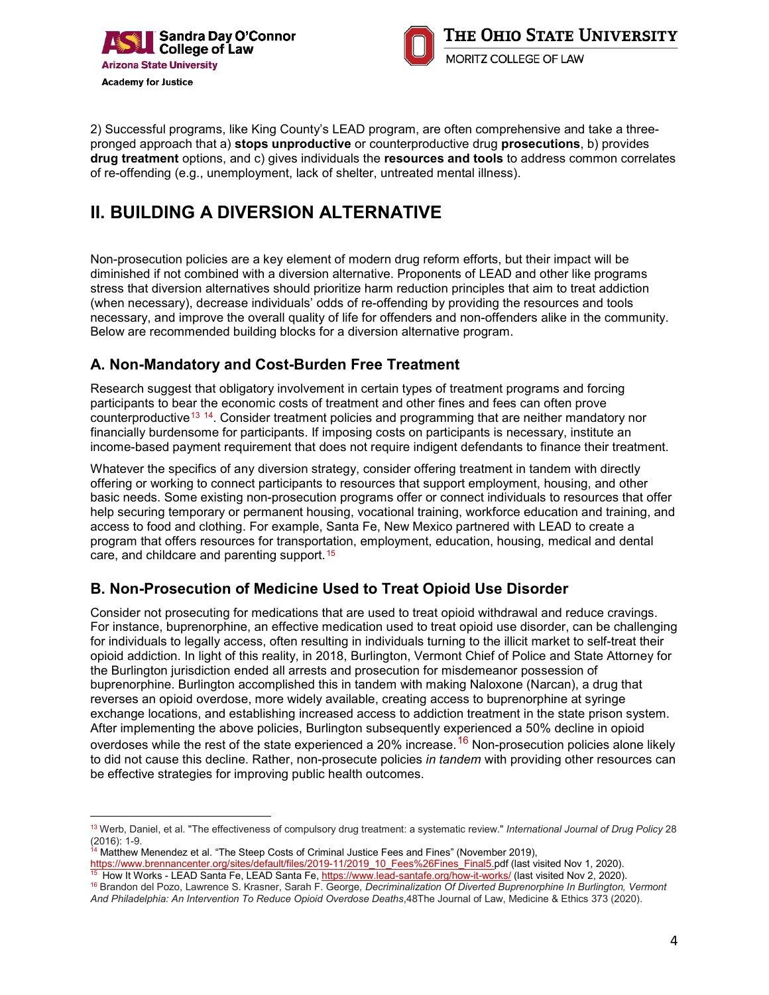



2) Successful programs, like King County's LEAD program, are often comprehensive and take a threepronged approach that a) **stops unproductive** or counterproductive drug **prosecutions**, b) provides **drug treatment** options, and c) gives individuals the **resources and tools** to address common correlates of re-offending (e.g., unemployment, lack of shelter, untreated mental illness).

### **II. BUILDING A DIVERSION ALTERNATIVE**

Non-prosecution policies are a key element of modern drug reform efforts, but their impact will be diminished if not combined with a diversion alternative. Proponents of LEAD and other like programs stress that diversion alternatives should prioritize harm reduction principles that aim to treat addiction (when necessary), decrease individuals' odds of re-offending by providing the resources and tools necessary, and improve the overall quality of life for offenders and non-offenders alike in the community. Below are recommended building blocks for a diversion alternative program.

#### **A. Non-Mandatory and Cost-Burden Free Treatment**

Research suggest that obligatory involvement in certain types of treatment programs and forcing participants to bear the economic costs of treatment and other fines and fees can often prove counterproductive[13](#page-3-0) [14.](#page-3-1) Consider treatment policies and programming that are neither mandatory nor financially burdensome for participants. If imposing costs on participants is necessary, institute an income-based payment requirement that does not require indigent defendants to finance their treatment.

Whatever the specifics of any diversion strategy, consider offering treatment in tandem with directly offering or working to connect participants to resources that support employment, housing, and other basic needs. Some existing non-prosecution programs offer or connect individuals to resources that offer help securing temporary or permanent housing, vocational training, workforce education and training, and access to food and clothing. For example, Santa Fe, New Mexico partnered with LEAD to create a program that offers resources for transportation, employment, education, housing, medical and dental care, and childcare and parenting support.<sup>[15](#page-3-2)</sup>

### **B. Non-Prosecution of Medicine Used to Treat Opioid Use Disorder**

Consider not prosecuting for medications that are used to treat opioid withdrawal and reduce cravings. For instance, buprenorphine, an effective medication used to treat opioid use disorder, can be challenging for individuals to legally access, often resulting in individuals turning to the illicit market to self-treat their opioid addiction. In light of this reality, in 2018, Burlington, Vermont Chief of Police and State Attorney for the Burlington jurisdiction ended all arrests and prosecution for misdemeanor possession of buprenorphine. Burlington accomplished this in tandem with making Naloxone (Narcan), a drug that reverses an opioid overdose, more widely available, creating access to buprenorphine at syringe exchange locations, and establishing increased access to addiction treatment in the state prison system. After implementing the above policies, Burlington subsequently experienced a 50% decline in opioid overdoses while the rest of the state experienced a 20% increase.<sup>[16](#page-3-3)</sup> Non-prosecution policies alone likely to did not cause this decline. Rather, non-prosecute policies *in tandem* with providing other resources can be effective strategies for improving public health outcomes.

<span id="page-3-1"></span><sup>14</sup> Matthew Menendez et al. "The Steep Costs of Criminal Justice Fees and Fines" (November 2019),

 $\overline{a}$ 

<span id="page-3-0"></span><sup>13</sup> Werb, Daniel, et al. "The effectiveness of compulsory drug treatment: a systematic review." *International Journal of Drug Policy* 28 (2016): 1-9.

https://www.brennancenter.org/sites/default/files/2019-11/2019\_10\_Fees%26Fines\_Final5.pdf (last visited Nov 1, 2020). <sup>15</sup> How It Works - LEAD Santa Fe, LEAD Santa Fe, https://www.lead-santafe.org/how-it-works/ (last visited Nov 2, 2020).

<span id="page-3-3"></span><span id="page-3-2"></span><sup>16</sup> Brandon del Pozo, Lawrence S. Krasner, Sarah F. George, *Decriminalization Of Diverted Buprenorphine In Burlington, Vermont And Philadelphia: An Intervention To Reduce Opioid Overdose Deaths*,48The Journal of Law, Medicine & Ethics 373 (2020).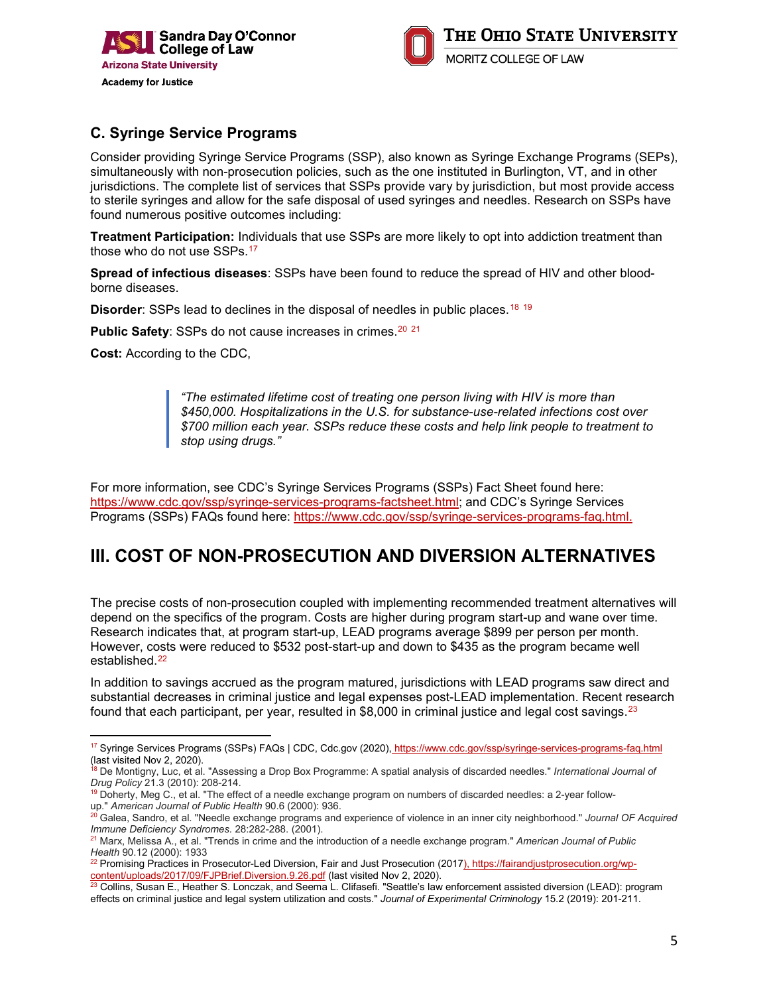



### **C. Syringe Service Programs**

Consider providing Syringe Service Programs (SSP), also known as Syringe Exchange Programs (SEPs), simultaneously with non-prosecution policies, such as the one instituted in Burlington, VT, and in other jurisdictions. The complete list of services that SSPs provide vary by jurisdiction, but most provide access to sterile syringes and allow for the safe disposal of used syringes and needles. Research on SSPs have found numerous positive outcomes including:

**Treatment Participation:** Individuals that use SSPs are more likely to opt into addiction treatment than those who do not use SSPs.<sup>[17](#page-4-0)</sup>

**Spread of infectious diseases**: SSPs have been found to reduce the spread of HIV and other bloodborne diseases.

**Disorder:** SSPs lead to declines in the disposal of needles in public places.<sup>[18](#page-4-1)</sup> <sup>[19](#page-4-2)</sup>

**Public Safety:** SSPs do not cause increases in crimes.<sup>[20](#page-4-3)</sup> <sup>[21](#page-4-4)</sup>

**Cost:** According to the CDC,

 $\overline{a}$ 

*"The estimated lifetime cost of treating one person living with HIV is more than \$450,000. Hospitalizations in the U.S. for substance-use-related infections cost over \$700 million each year. SSPs reduce these costs and help link people to treatment to stop using drugs."*

For more information, see CDC's Syringe Services Programs (SSPs) Fact Sheet found here: [https://www.cdc.gov/ssp/syringe-services-programs-factsheet.html;](https://www.cdc.gov/ssp/syringe-services-programs-factsheet.html) and CDC's Syringe Services Programs (SSPs) FAQs found here: [https://www.cdc.gov/ssp/syringe-services-programs-faq.html.](https://www.cdc.gov/ssp/syringe-services-programs-faq.html)

### **III. COST OF NON-PROSECUTION AND DIVERSION ALTERNATIVES**

The precise costs of non-prosecution coupled with implementing recommended treatment alternatives will depend on the specifics of the program. Costs are higher during program start-up and wane over time. Research indicates that, at program start-up, LEAD programs average \$899 per person per month. However, costs were reduced to \$532 post-start-up and down to \$435 as the program became well established.[22](#page-4-5)

In addition to savings accrued as the program matured, jurisdictions with LEAD programs saw direct and substantial decreases in criminal justice and legal expenses post-LEAD implementation. Recent research found that each participant, per year, resulted in \$8,000 in criminal justice and legal cost savings.<sup>[23](#page-4-6)</sup>

<span id="page-4-0"></span><sup>&</sup>lt;sup>17</sup> Syringe Services Programs (SSPs) FAQs | CDC, Cdc.gov (2020)<u>, https://www.cdc.gov/ssp/syringe-services-programs-faq.html</u> (last visited Nov 2, 2020).

<span id="page-4-1"></span><sup>18</sup> De Montigny, Luc, et al. "Assessing a Drop Box Programme: A spatial analysis of discarded needles." *International Journal of Drug Policy* 21.3 (2010): 208-214.

<span id="page-4-2"></span><sup>&</sup>lt;sup>19</sup> Doherty, Meg C., et al. "The effect of a needle exchange program on numbers of discarded needles: a 2-year followup." *American Journal of Public Health* 90.6 (2000): 936.

<span id="page-4-3"></span><sup>20</sup> Galea, Sandro, et al. "Needle exchange programs and experience of violence in an inner city neighborhood." *Journal OF Acquired Immune Deficiency Syndromes.* 28:282-288. (2001).

<span id="page-4-4"></span><sup>21</sup> Marx, Melissa A., et al. "Trends in crime and the introduction of a needle exchange program." *American Journal of Public Health* 90.12 (2000): 1933

<span id="page-4-5"></span><sup>&</sup>lt;sup>22</sup> Promising Practices in Prosecutor-Led Diversion, Fair and Just Prosecution (2017), https://fairandjustprosecution.org/wpcontent/uploads/2017/09/FJPBrief.Diversion.9.26.pdf (last visited Nov 2, 2020).

<span id="page-4-6"></span> $^{23}$  Collins, Susan E., Heather S. Lonczak, and Seema L. Clifasefi. "Seattle's law enforcement assisted diversion (LEAD): program effects on criminal justice and legal system utilization and costs." *Journal of Experimental Criminology* 15.2 (2019): 201-211.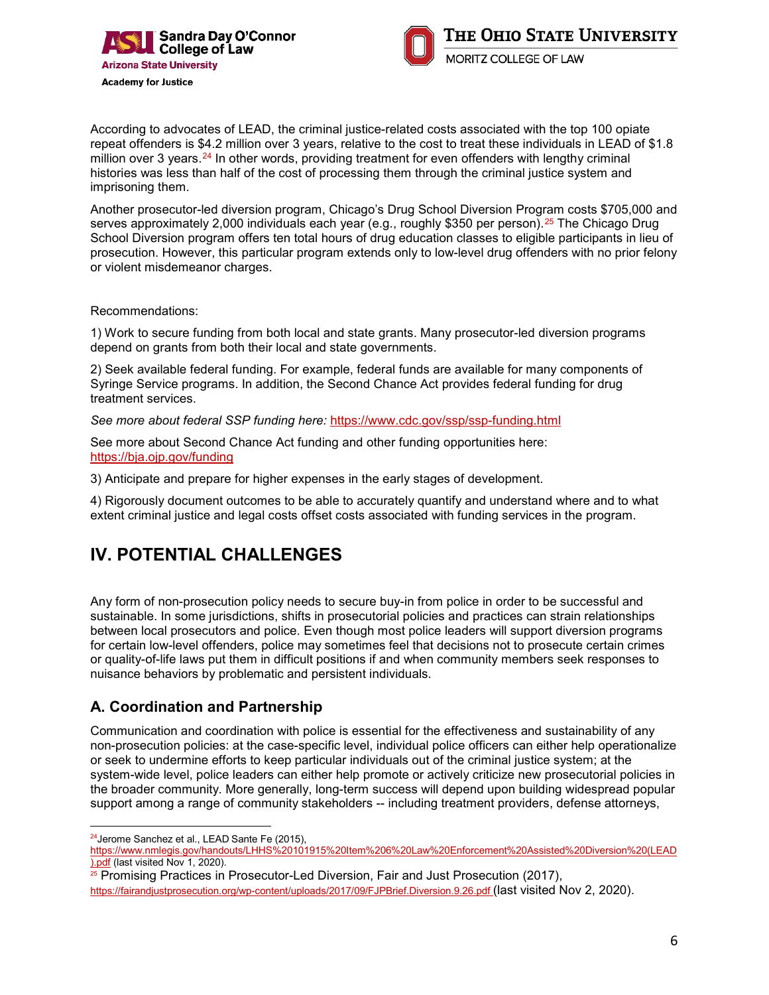



According to advocates of LEAD, the criminal justice-related costs associated with the top 100 opiate repeat offenders is \$4.2 million over 3 years, relative to the cost to treat these individuals in LEAD of \$1.8 million over 3 years.<sup>[24](#page-5-0)</sup> In other words, providing treatment for even offenders with lengthy criminal histories was less than half of the cost of processing them through the criminal justice system and imprisoning them.

Another prosecutor-led diversion program, Chicago's Drug School Diversion Program costs \$705,000 and serves approximately 2,000 individuals each year (e.g., roughly \$350 per person).<sup>[25](#page-5-1)</sup> The Chicago Drug School Diversion program offers ten total hours of drug education classes to eligible participants in lieu of prosecution. However, this particular program extends only to low-level drug offenders with no prior felony or violent misdemeanor charges.

Recommendations:

1) Work to secure funding from both local and state grants. Many prosecutor-led diversion programs depend on grants from both their local and state governments.

2) Seek available federal funding. For example, federal funds are available for many components of Syringe Service programs. In addition, the Second Chance Act provides federal funding for drug treatment services.

*See more about federal SSP funding here:* <https://www.cdc.gov/ssp/ssp-funding.html>

See more about Second Chance Act funding and other funding opportunities here: <https://bja.ojp.gov/funding>

3) Anticipate and prepare for higher expenses in the early stages of development.

4) Rigorously document outcomes to be able to accurately quantify and understand where and to what extent criminal justice and legal costs offset costs associated with funding services in the program.

### **IV. POTENTIAL CHALLENGES**

Any form of non-prosecution policy needs to secure buy-in from police in order to be successful and sustainable. In some jurisdictions, shifts in prosecutorial policies and practices can strain relationships between local prosecutors and police. Even though most police leaders will support diversion programs for certain low-level offenders, police may sometimes feel that decisions not to prosecute certain crimes or quality-of-life laws put them in difficult positions if and when community members seek responses to nuisance behaviors by problematic and persistent individuals.

#### **A. Coordination and Partnership**

Communication and coordination with police is essential for the effectiveness and sustainability of any non-prosecution policies: at the case-specific level, individual police officers can either help operationalize or seek to undermine efforts to keep particular individuals out of the criminal justice system; at the system-wide level, police leaders can either help promote or actively criticize new prosecutorial policies in the broader community. More generally, long-term success will depend upon building widespread popular support among a range of community stakeholders -- including treatment providers, defense attorneys,

 $\overline{a}$ <sup>24</sup>Jerome Sanchez et al., LEAD Sante Fe (2015),

<span id="page-5-0"></span>https://www.nmlegis.gov/handouts/LHHS%20101915%20Item%206%20Law%20Enforcement%20Assisted%20Diversion%20(LEAD ).pdf (last visited Nov 1, 2020).

<span id="page-5-1"></span><sup>25</sup> Promising Practices in Prosecutor-Led Diversion, Fair and Just Prosecution (2017), https://fairandjustprosecution.org/wp-content/uploads/2017/09/FJPBrief.Diversion.9.26.pdf (last visited Nov 2, 2020).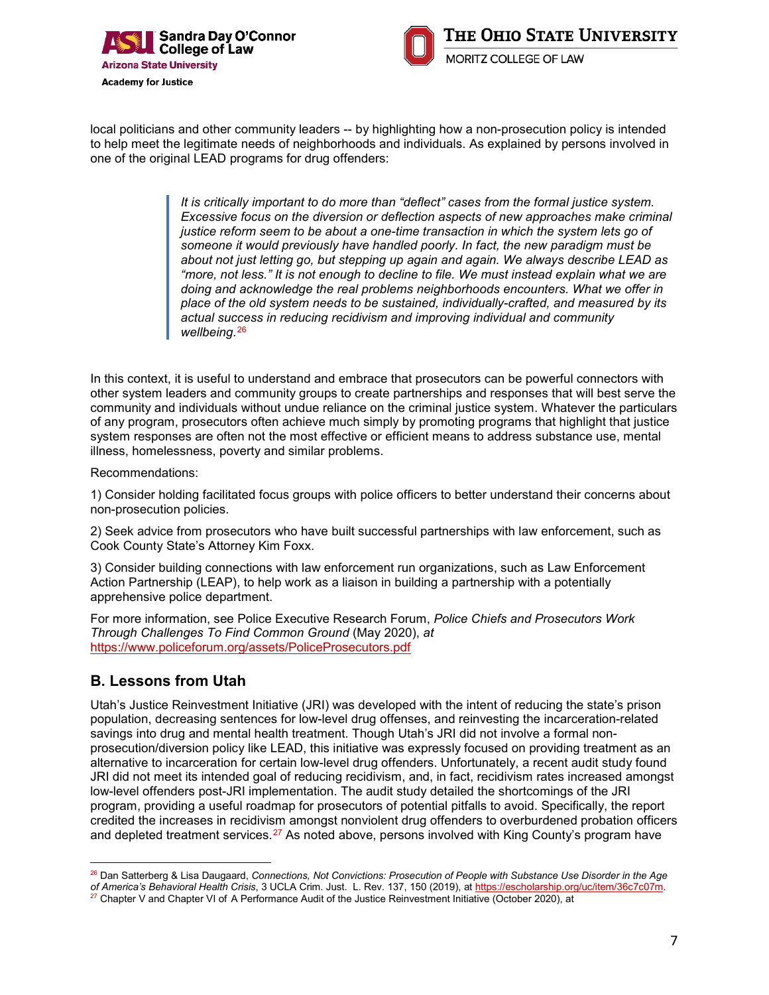



local politicians and other community leaders -- by highlighting how a non-prosecution policy is intended to help meet the legitimate needs of neighborhoods and individuals. As explained by persons involved in one of the original LEAD programs for drug offenders:

> *It is critically important to do more than "deflect" cases from the formal justice system. Excessive focus on the diversion or deflection aspects of new approaches make criminal justice reform seem to be about a one-time transaction in which the system lets go of someone it would previously have handled poorly. In fact, the new paradigm must be about not just letting go, but stepping up again and again. We always describe LEAD as "more, not less." It is not enough to decline to file. We must instead explain what we are doing and acknowledge the real problems neighborhoods encounters. What we offer in place of the old system needs to be sustained, individually-crafted, and measured by its actual success in reducing recidivism and improving individual and community wellbeing.*[26](#page-6-0)

In this context, it is useful to understand and embrace that prosecutors can be powerful connectors with other system leaders and community groups to create partnerships and responses that will best serve the community and individuals without undue reliance on the criminal justice system. Whatever the particulars of any program, prosecutors often achieve much simply by promoting programs that highlight that justice system responses are often not the most effective or efficient means to address substance use, mental illness, homelessness, poverty and similar problems.

Recommendations:

1) Consider holding facilitated focus groups with police officers to better understand their concerns about non-prosecution policies.

2) Seek advice from prosecutors who have built successful partnerships with law enforcement, such as Cook County State's Attorney Kim Foxx.

3) Consider building connections with law enforcement run organizations, such as Law Enforcement Action Partnership (LEAP), to help work as a liaison in building a partnership with a potentially apprehensive police department.

For more information, see Police Executive Research Forum, *Police Chiefs and Prosecutors Work Through Challenges To Find Common Ground* (May 2020), *at* <https://www.policeforum.org/assets/PoliceProsecutors.pdf>

#### **B. Lessons from Utah**

Utah's Justice Reinvestment Initiative (JRI) was developed with the intent of reducing the state's prison population, decreasing sentences for low-level drug offenses, and reinvesting the incarceration-related savings into drug and mental health treatment. Though Utah's JRI did not involve a formal nonprosecution/diversion policy like LEAD, this initiative was expressly focused on providing treatment as an alternative to incarceration for certain low-level drug offenders. Unfortunately, a recent audit study found JRI did not meet its intended goal of reducing recidivism, and, in fact, recidivism rates increased amongst low-level offenders post-JRI implementation. The audit study detailed the shortcomings of the JRI program, providing a useful roadmap for prosecutors of potential pitfalls to avoid. Specifically, the report credited the increases in recidivism amongst nonviolent drug offenders to overburdened probation officers and depleted treatment services.<sup>[27](#page-6-1)</sup> As noted above, persons involved with King County's program have

<span id="page-6-0"></span> $\overline{a}$ <sup>26</sup> Dan Satterberg & Lisa Daugaard, *Connections, Not Convictions: Prosecution of People with Substance Use Disorder in the Age of America's Behavioral Health Crisis, 3 UCLA Crim, Just. L. Rev. 137, 150 (2019), at https:/* 

<span id="page-6-1"></span><sup>&</sup>lt;sup>27</sup> Chapter V and Chapter VI of A Performance Audit of the Justice Reinvestment Initiative (October 2020), at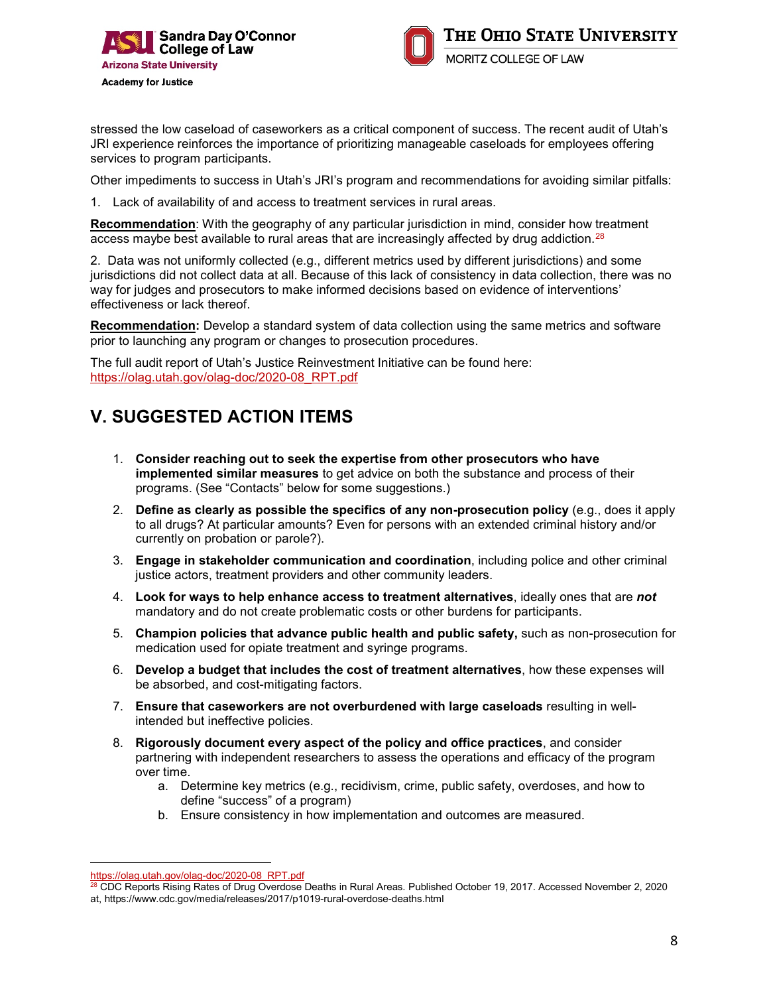



stressed the low caseload of caseworkers as a critical component of success. The recent audit of Utah's JRI experience reinforces the importance of prioritizing manageable caseloads for employees offering services to program participants.

Other impediments to success in Utah's JRI's program and recommendations for avoiding similar pitfalls:

1. Lack of availability of and access to treatment services in rural areas.

**Recommendation**: With the geography of any particular jurisdiction in mind, consider how treatment access maybe best available to rural areas that are increasingly affected by drug addiction.<sup>[28](#page-7-0)</sup>

2. Data was not uniformly collected (e.g., different metrics used by different jurisdictions) and some jurisdictions did not collect data at all. Because of this lack of consistency in data collection, there was no way for judges and prosecutors to make informed decisions based on evidence of interventions' effectiveness or lack thereof.

**Recommendation:** Develop a standard system of data collection using the same metrics and software prior to launching any program or changes to prosecution procedures.

The full audit report of Utah's Justice Reinvestment Initiative can be found here: [https://olag.utah.gov/olag-doc/2020-08\\_RPT.pdf](https://olag.utah.gov/olag-doc/2020-08_RPT.pdf)

### **V. SUGGESTED ACTION ITEMS**

- 1. **Consider reaching out to seek the expertise from other prosecutors who have implemented similar measures** to get advice on both the substance and process of their programs. (See "Contacts" below for some suggestions.)
- 2. **Define as clearly as possible the specifics of any non-prosecution policy** (e.g., does it apply to all drugs? At particular amounts? Even for persons with an extended criminal history and/or currently on probation or parole?).
- 3. **Engage in stakeholder communication and coordination**, including police and other criminal justice actors, treatment providers and other community leaders.
- 4. **Look for ways to help enhance access to treatment alternatives**, ideally ones that are *not* mandatory and do not create problematic costs or other burdens for participants.
- 5. **Champion policies that advance public health and public safety,** such as non-prosecution for medication used for opiate treatment and syringe programs.
- 6. **Develop a budget that includes the cost of treatment alternatives**, how these expenses will be absorbed, and cost-mitigating factors.
- 7. **Ensure that caseworkers are not overburdened with large caseloads** resulting in wellintended but ineffective policies.
- 8. **Rigorously document every aspect of the policy and office practices**, and consider partnering with independent researchers to assess the operations and efficacy of the program over time.
	- a. Determine key metrics (e.g., recidivism, crime, public safety, overdoses, and how to define "success" of a program)
	- b. Ensure consistency in how implementation and outcomes are measured.

 $\overline{a}$ [https://olag.utah.gov/olag-doc/2020-08\\_RPT.pdf](https://olag.utah.gov/olag-doc/2020-08_RPT.pdf)

 $^\mathrm{28}$  CDC Reports Rising Rates of Drug Overdose Deaths in Rural Areas. Published October 19, 2017. Accessed November 2, 2020

<span id="page-7-0"></span>at, https://www.cdc.gov/media/releases/2017/p1019-rural-overdose-deaths.html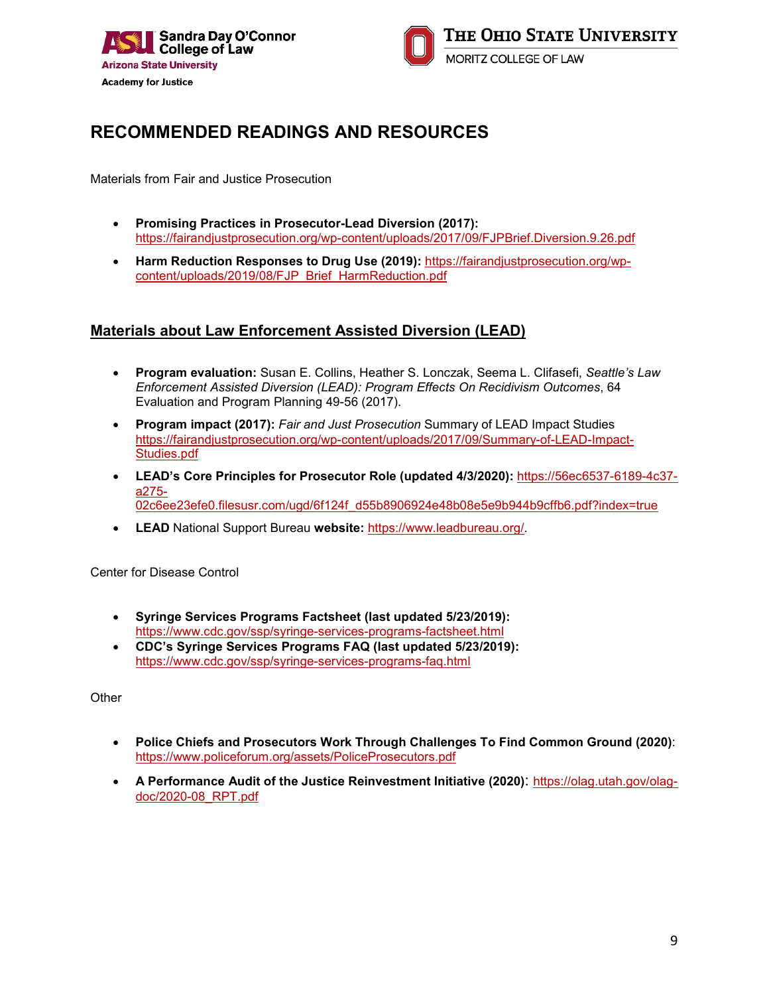



### **RECOMMENDED READINGS AND RESOURCES**

Materials from Fair and Justice Prosecution

- **Promising Practices in Prosecutor-Lead Diversion (2017):**  <https://fairandjustprosecution.org/wp-content/uploads/2017/09/FJPBrief.Diversion.9.26.pdf>
- **Harm Reduction Responses to Drug Use (2019):** [https://fairandjustprosecution.org/wp](https://fairandjustprosecution.org/wp-content/uploads/2019/08/FJP_Brief_HarmReduction.pdf)[content/uploads/2019/08/FJP\\_Brief\\_HarmReduction.pdf](https://fairandjustprosecution.org/wp-content/uploads/2019/08/FJP_Brief_HarmReduction.pdf)

#### **Materials about Law Enforcement Assisted Diversion (LEAD)**

- **Program evaluation:** Susan E. Collins, Heather S. Lonczak, Seema L. Clifasefi, *Seattle's Law Enforcement Assisted Diversion (LEAD): Program Effects On Recidivism Outcomes*, 64 Evaluation and Program Planning 49-56 (2017).
- **Program impact (2017):** *Fair and Just Prosecution* Summary of LEAD Impact Studies [https://fairandjustprosecution.org/wp-content/uploads/2017/09/Summary-of-LEAD-Impact-](https://fairandjustprosecution.org/wp-content/uploads/2017/09/Summary-of-LEAD-Impact-Studies.pdf)[Studies.pdf](https://fairandjustprosecution.org/wp-content/uploads/2017/09/Summary-of-LEAD-Impact-Studies.pdf)
- **LEAD's Core Principles for Prosecutor Role (updated 4/3/2020):** [https://56ec6537-6189-4c37](https://56ec6537-6189-4c37-a275-02c6ee23efe0.filesusr.com/ugd/6f124f_d55b8906924e48b08e5e9b944b9cffb6.pdf?index=true) [a275-](https://56ec6537-6189-4c37-a275-02c6ee23efe0.filesusr.com/ugd/6f124f_d55b8906924e48b08e5e9b944b9cffb6.pdf?index=true) [02c6ee23efe0.filesusr.com/ugd/6f124f\\_d55b8906924e48b08e5e9b944b9cffb6.pdf?index=true](https://56ec6537-6189-4c37-a275-02c6ee23efe0.filesusr.com/ugd/6f124f_d55b8906924e48b08e5e9b944b9cffb6.pdf?index=true)
- **LEAD** National Support Bureau **website:** [https://www.leadbureau.org/.](https://www.leadbureau.org/)

Center for Disease Control

- **Syringe Services Programs Factsheet (last updated 5/23/2019):** <https://www.cdc.gov/ssp/syringe-services-programs-factsheet.html>
- **CDC's Syringe Services Programs FAQ (last updated 5/23/2019):** <https://www.cdc.gov/ssp/syringe-services-programs-faq.html>

**Other** 

- **Police Chiefs and Prosecutors Work Through Challenges To Find Common Ground (2020)**: <https://www.policeforum.org/assets/PoliceProsecutors.pdf>
- **A Performance Audit of the Justice Reinvestment Initiative (2020)**: [https://olag.utah.gov/olag](https://olag.utah.gov/olag-doc/2020-08_RPT.pdf)[doc/2020-08\\_RPT.pdf](https://olag.utah.gov/olag-doc/2020-08_RPT.pdf)